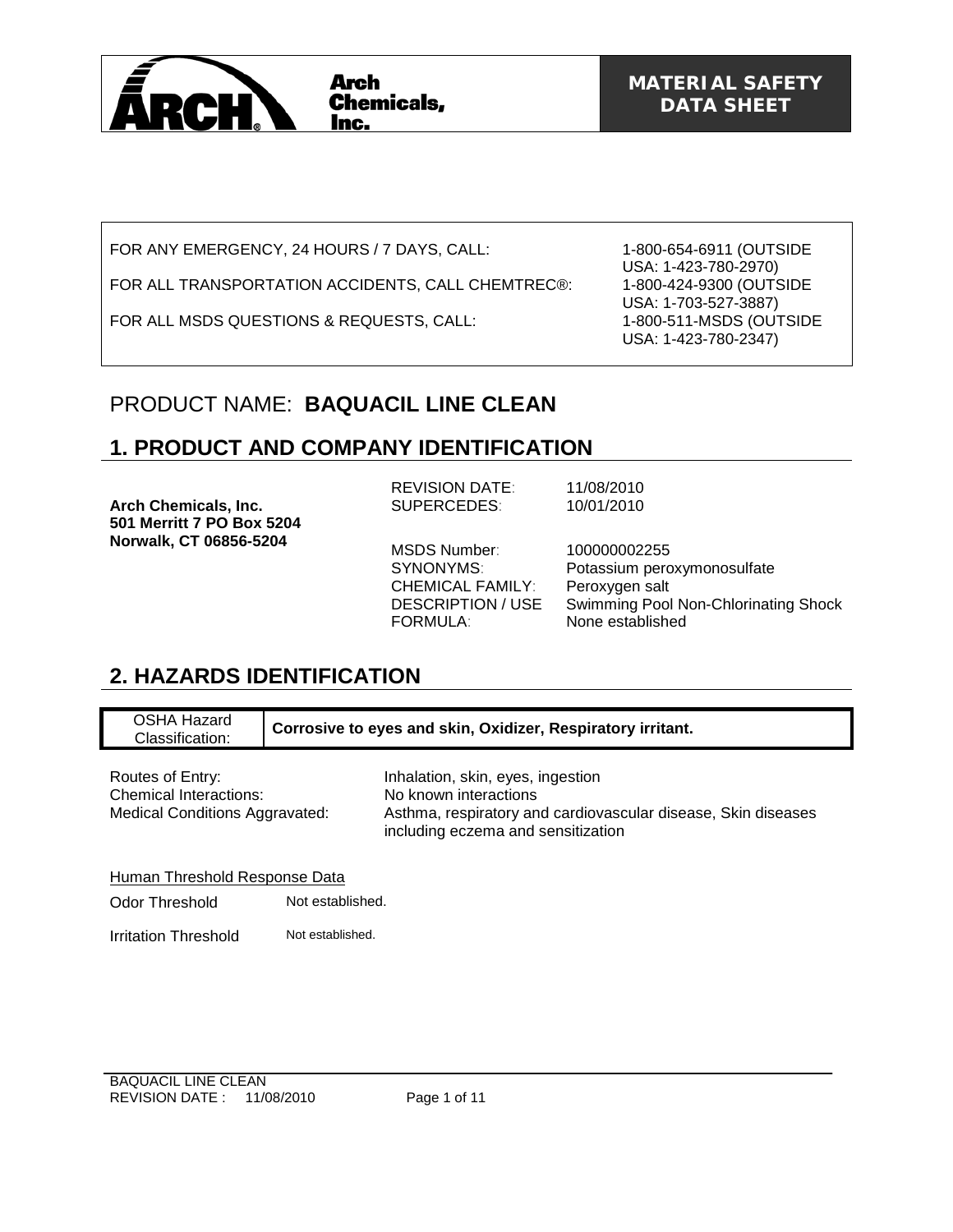

FOR ANY EMERGENCY, 24 HOURS / 7 DAYS, CALL:

FOR ALL TRANSPORTATION ACCIDENTS, CALL CHEMTREC®:

FOR ALL MSDS QUESTIONS & REQUESTS, CALL:

1-800-654-6911 (OUTSIDE USA: 1-423-780-2970) 1-800-424-9300 (OUTSIDE USA: 1-703-527-3887) 1-800-511-MSDS (OUTSIDE USA: 1-423-780-2347)

## PRODUCT NAME: **BAQUACIL LINE CLEAN**

## **1. PRODUCT AND COMPANY IDENTIFICATION**

**Arch Chemicals, Inc. 501 Merritt 7 PO Box 5204 Norwalk, CT 06856-5204** 

REVISION DATE: 11/08/2010 SUPERCEDES: 10/01/2010

MSDS Number: 100000002255 CHEMICAL FAMILY: Peroxygen salt FORMULA: None established

SYNONYMS: Potassium peroxymonosulfate DESCRIPTION / USE Swimming Pool Non-Chlorinating Shock

## **2. HAZARDS IDENTIFICATION**

OSHA Hazard Classification: **Corrosive to eyes and skin, Oxidizer, Respiratory irritant.**

Chemical Interactions: No known interactions<br>
Medical Conditions Aggravated: Asthma, respiratory an

Routes of Entry: **Inhalation**, skin, eyes, ingestion Asthma, respiratory and cardiovascular disease, Skin diseases including eczema and sensitization

Human Threshold Response Data

Odor Threshold Not established.

Irritation Threshold Not established.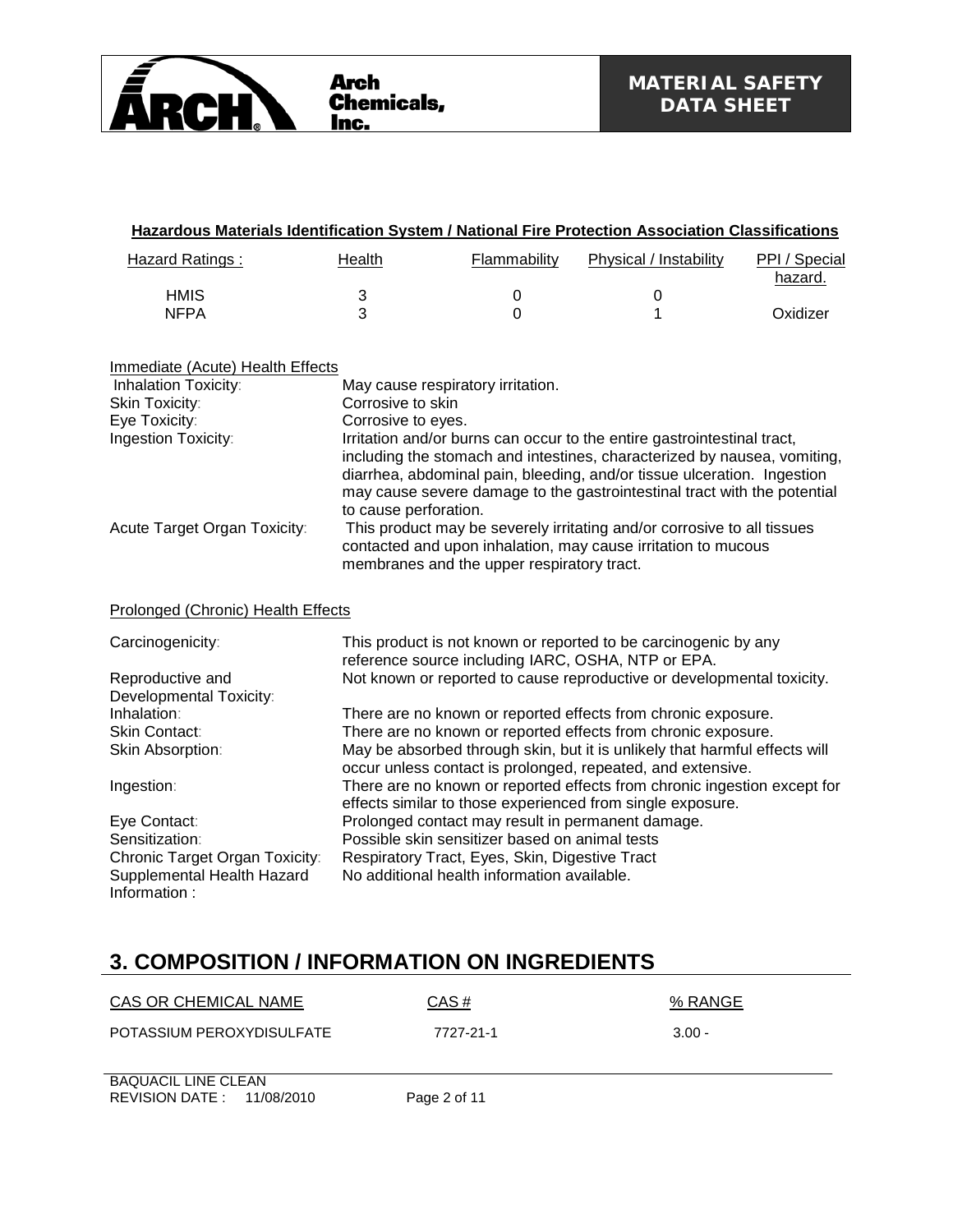

| Hazardous Materials Identification System / National Fire Protection Association Classifications |                                                                                               |              |                                                                                                                                                                                                                                                                                                                                                                                                                                                        |                          |
|--------------------------------------------------------------------------------------------------|-----------------------------------------------------------------------------------------------|--------------|--------------------------------------------------------------------------------------------------------------------------------------------------------------------------------------------------------------------------------------------------------------------------------------------------------------------------------------------------------------------------------------------------------------------------------------------------------|--------------------------|
| <b>Hazard Ratings:</b>                                                                           | <b>Health</b>                                                                                 | Flammability | Physical / Instability                                                                                                                                                                                                                                                                                                                                                                                                                                 | PPI / Special<br>hazard. |
| <b>HMIS</b>                                                                                      | $\ensuremath{\mathsf{3}}$                                                                     | 0            | $\pmb{0}$                                                                                                                                                                                                                                                                                                                                                                                                                                              |                          |
| <b>NFPA</b>                                                                                      | 3                                                                                             | 0            | 1                                                                                                                                                                                                                                                                                                                                                                                                                                                      | Oxidizer                 |
| Immediate (Acute) Health Effects                                                                 |                                                                                               |              |                                                                                                                                                                                                                                                                                                                                                                                                                                                        |                          |
| Inhalation Toxicity:                                                                             | May cause respiratory irritation.                                                             |              |                                                                                                                                                                                                                                                                                                                                                                                                                                                        |                          |
| Skin Toxicity:                                                                                   | Corrosive to skin                                                                             |              |                                                                                                                                                                                                                                                                                                                                                                                                                                                        |                          |
| Eye Toxicity:                                                                                    | Corrosive to eyes.                                                                            |              |                                                                                                                                                                                                                                                                                                                                                                                                                                                        |                          |
| Ingestion Toxicity:<br>Acute Target Organ Toxicity:                                              | to cause perforation.                                                                         |              | Irritation and/or burns can occur to the entire gastrointestinal tract,<br>including the stomach and intestines, characterized by nausea, vomiting,<br>diarrhea, abdominal pain, bleeding, and/or tissue ulceration. Ingestion<br>may cause severe damage to the gastrointestinal tract with the potential<br>This product may be severely irritating and/or corrosive to all tissues<br>contacted and upon inhalation, may cause irritation to mucous |                          |
| Prolonged (Chronic) Health Effects                                                               | membranes and the upper respiratory tract.                                                    |              |                                                                                                                                                                                                                                                                                                                                                                                                                                                        |                          |
| Carcinogenicity:                                                                                 |                                                                                               |              | This product is not known or reported to be carcinogenic by any<br>reference source including IARC, OSHA, NTP or EPA.                                                                                                                                                                                                                                                                                                                                  |                          |
| Reproductive and                                                                                 |                                                                                               |              | Not known or reported to cause reproductive or developmental toxicity.                                                                                                                                                                                                                                                                                                                                                                                 |                          |
| Developmental Toxicity:                                                                          |                                                                                               |              |                                                                                                                                                                                                                                                                                                                                                                                                                                                        |                          |
| Inhalation:                                                                                      |                                                                                               |              | There are no known or reported effects from chronic exposure.                                                                                                                                                                                                                                                                                                                                                                                          |                          |
| <b>Skin Contact:</b>                                                                             |                                                                                               |              | There are no known or reported effects from chronic exposure.                                                                                                                                                                                                                                                                                                                                                                                          |                          |
| Skin Absorption:                                                                                 |                                                                                               |              | May be absorbed through skin, but it is unlikely that harmful effects will<br>occur unless contact is prolonged, repeated, and extensive.                                                                                                                                                                                                                                                                                                              |                          |
| Ingestion:                                                                                       |                                                                                               |              | There are no known or reported effects from chronic ingestion except for<br>effects similar to those experienced from single exposure.                                                                                                                                                                                                                                                                                                                 |                          |
| Eye Contact:                                                                                     |                                                                                               |              | Prolonged contact may result in permanent damage.                                                                                                                                                                                                                                                                                                                                                                                                      |                          |
| Sensitization:                                                                                   | Possible skin sensitizer based on animal tests                                                |              |                                                                                                                                                                                                                                                                                                                                                                                                                                                        |                          |
| Chronic Target Organ Toxicity:<br>Supplemental Health Hazard<br>Information:                     | Respiratory Tract, Eyes, Skin, Digestive Tract<br>No additional health information available. |              |                                                                                                                                                                                                                                                                                                                                                                                                                                                        |                          |

# **3. COMPOSITION / INFORMATION ON INGREDIENTS**

| CAS OR CHEMICAL NAME                                    | CAS#         | % RANGE  |
|---------------------------------------------------------|--------------|----------|
| POTASSIUM PEROXYDISULFATE                               | 7727-21-1    | $3.00 -$ |
| <b>BAQUACIL LINE CLEAN</b><br>REVISION DATE: 11/08/2010 | Page 2 of 11 |          |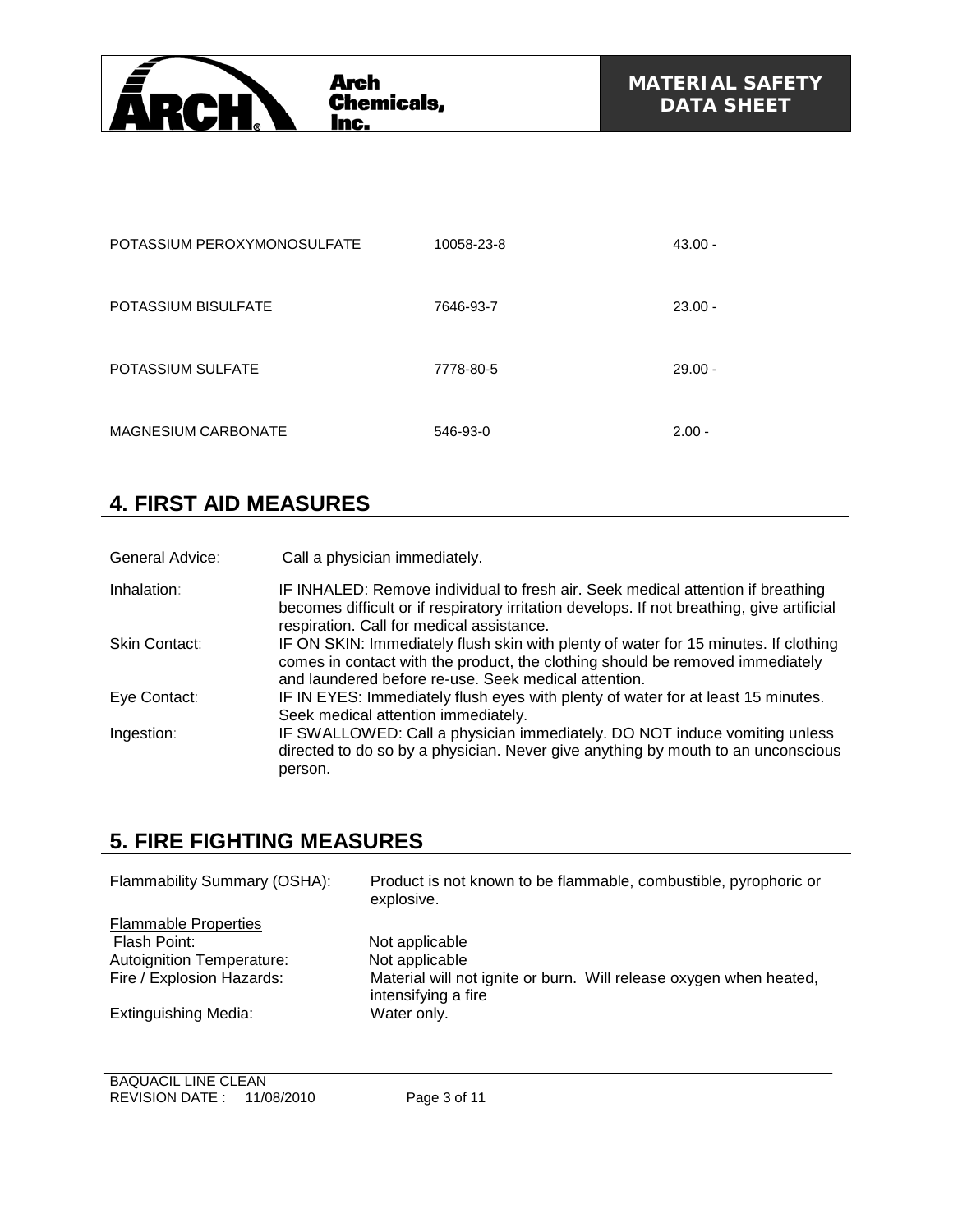

| POTASSIUM PEROXYMONOSULFATE | 10058-23-8 | $43.00 -$ |
|-----------------------------|------------|-----------|
| POTASSIUM BISULFATE         | 7646-93-7  | $23.00 -$ |
| <b>POTASSIUM SULFATE</b>    | 7778-80-5  | $29.00 -$ |
| <b>MAGNESIUM CARBONATE</b>  | 546-93-0   | $2.00 -$  |

## **4. FIRST AID MEASURES**

| General Advice: | Call a physician immediately.                                                                                                                                                                                                |
|-----------------|------------------------------------------------------------------------------------------------------------------------------------------------------------------------------------------------------------------------------|
| Inhalation:     | IF INHALED: Remove individual to fresh air. Seek medical attention if breathing<br>becomes difficult or if respiratory irritation develops. If not breathing, give artificial<br>respiration. Call for medical assistance.   |
| Skin Contact:   | IF ON SKIN: Immediately flush skin with plenty of water for 15 minutes. If clothing<br>comes in contact with the product, the clothing should be removed immediately<br>and laundered before re-use. Seek medical attention. |
| Eye Contact:    | IF IN EYES: Immediately flush eyes with plenty of water for at least 15 minutes.<br>Seek medical attention immediately.                                                                                                      |
| Ingestion:      | IF SWALLOWED: Call a physician immediately. DO NOT induce vomiting unless<br>directed to do so by a physician. Never give anything by mouth to an unconscious<br>person.                                                     |

## **5. FIRE FIGHTING MEASURES**

| Flammability Summary (OSHA):     | Product is not known to be flammable, combustible, pyrophoric or<br>explosive.            |
|----------------------------------|-------------------------------------------------------------------------------------------|
| <b>Flammable Properties</b>      |                                                                                           |
| Flash Point:                     | Not applicable                                                                            |
| <b>Autoignition Temperature:</b> | Not applicable                                                                            |
| Fire / Explosion Hazards:        | Material will not ignite or burn. Will release oxygen when heated,<br>intensifying a fire |
| <b>Extinguishing Media:</b>      | Water only.                                                                               |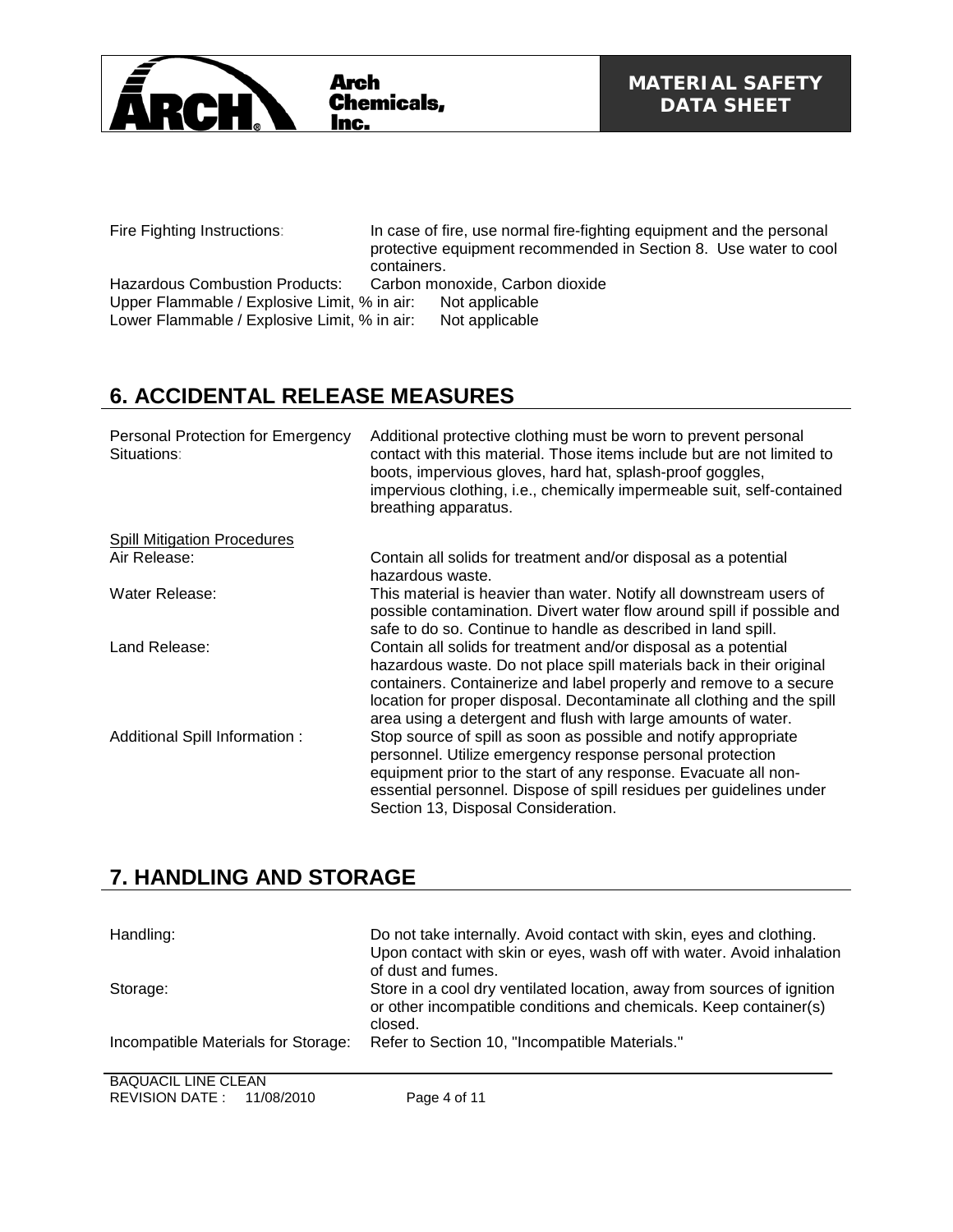

Fire Fighting Instructions: In case of fire, use normal fire-fighting equipment and the personal protective equipment recommended in Section 8. Use water to cool containers.

Hazardous Combustion Products: Carbon monoxide, Carbon dioxide<br>Upper Flammable / Explosive Limit, % in air: Not applicable Upper Flammable / Explosive Limit, % in air: Not applicable Lower Flammable / Explosive Limit, % in air: Not applicable Lower Flammable / Explosive Limit, % in air:

# **6. ACCIDENTAL RELEASE MEASURES**

| Personal Protection for Emergency<br>Situations: | Additional protective clothing must be worn to prevent personal<br>contact with this material. Those items include but are not limited to<br>boots, impervious gloves, hard hat, splash-proof goggles,<br>impervious clothing, i.e., chemically impermeable suit, self-contained<br>breathing apparatus.                                                 |
|--------------------------------------------------|----------------------------------------------------------------------------------------------------------------------------------------------------------------------------------------------------------------------------------------------------------------------------------------------------------------------------------------------------------|
| <b>Spill Mitigation Procedures</b>               |                                                                                                                                                                                                                                                                                                                                                          |
| Air Release:                                     | Contain all solids for treatment and/or disposal as a potential<br>hazardous waste.                                                                                                                                                                                                                                                                      |
| Water Release:                                   | This material is heavier than water. Notify all downstream users of<br>possible contamination. Divert water flow around spill if possible and<br>safe to do so. Continue to handle as described in land spill.                                                                                                                                           |
| Land Release:                                    | Contain all solids for treatment and/or disposal as a potential<br>hazardous waste. Do not place spill materials back in their original<br>containers. Containerize and label properly and remove to a secure<br>location for proper disposal. Decontaminate all clothing and the spill<br>area using a detergent and flush with large amounts of water. |
| Additional Spill Information:                    | Stop source of spill as soon as possible and notify appropriate<br>personnel. Utilize emergency response personal protection<br>equipment prior to the start of any response. Evacuate all non-<br>essential personnel. Dispose of spill residues per guidelines under<br>Section 13, Disposal Consideration.                                            |

## **7. HANDLING AND STORAGE**

| Handling:                           | Do not take internally. Avoid contact with skin, eyes and clothing.<br>Upon contact with skin or eyes, wash off with water. Avoid inhalation<br>of dust and fumes. |
|-------------------------------------|--------------------------------------------------------------------------------------------------------------------------------------------------------------------|
| Storage:                            | Store in a cool dry ventilated location, away from sources of ignition<br>or other incompatible conditions and chemicals. Keep container(s)<br>closed.             |
| Incompatible Materials for Storage: | Refer to Section 10, "Incompatible Materials."                                                                                                                     |
| D A Q H A Q H H H H F Q H T A H     |                                                                                                                                                                    |

BAQUACIL LINE CLEAN REVISION DATE : 11/08/2010 Page 4 of 11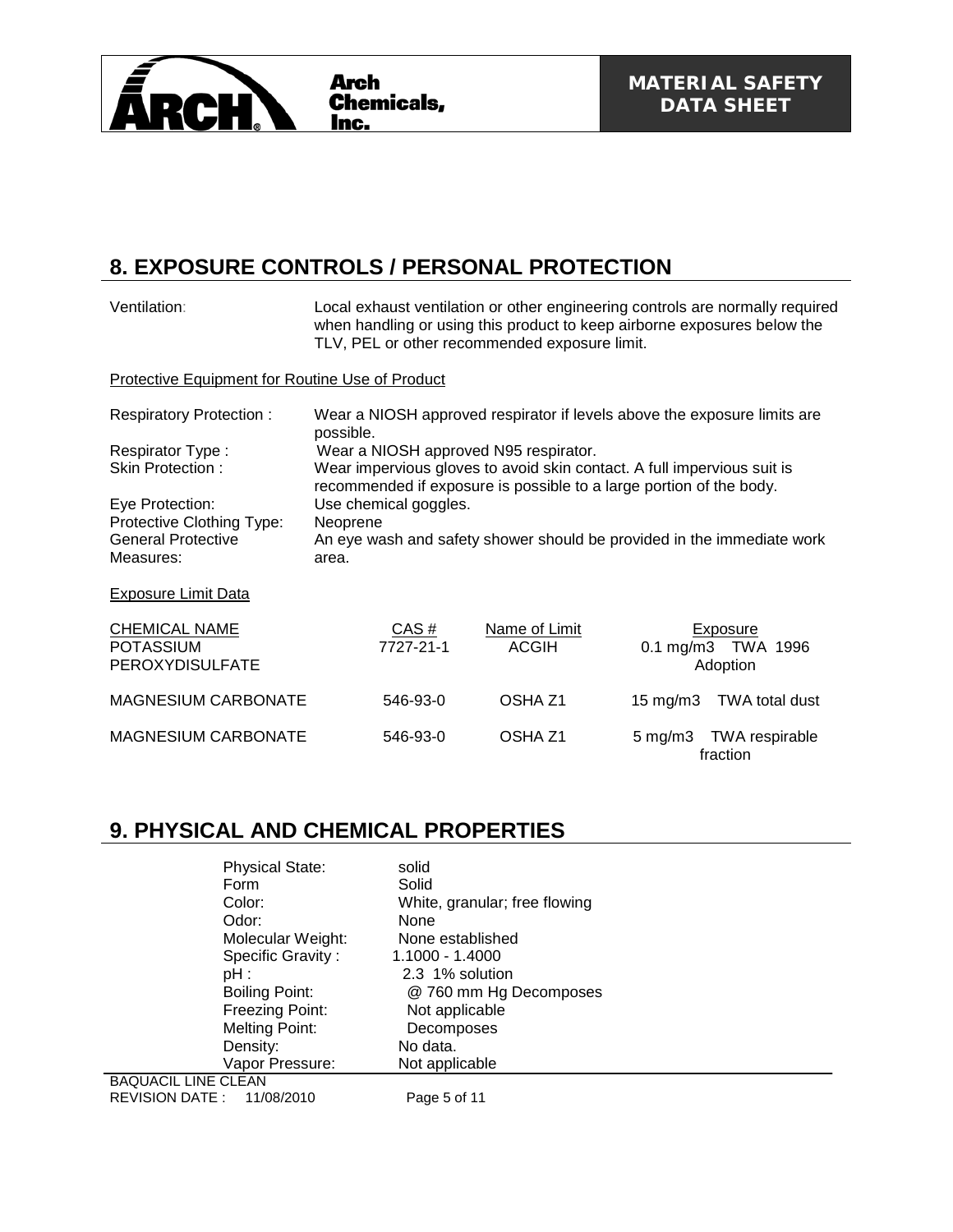

### **8. EXPOSURE CONTROLS / PERSONAL PROTECTION**

| Ventilation:                                                                           | Local exhaust ventilation or other engineering controls are normally required<br>when handling or using this product to keep airborne exposures below the<br>TLV, PEL or other recommended exposure limit. |                               |                   |                                            |
|----------------------------------------------------------------------------------------|------------------------------------------------------------------------------------------------------------------------------------------------------------------------------------------------------------|-------------------------------|-------------------|--------------------------------------------|
| <b>Protective Equipment for Routine Use of Product</b>                                 |                                                                                                                                                                                                            |                               |                   |                                            |
| <b>Respiratory Protection:</b>                                                         | Wear a NIOSH approved respirator if levels above the exposure limits are<br>possible.                                                                                                                      |                               |                   |                                            |
| Respirator Type:<br><b>Skin Protection:</b>                                            | Wear a NIOSH approved N95 respirator.<br>Wear impervious gloves to avoid skin contact. A full impervious suit is<br>recommended if exposure is possible to a large portion of the body.                    |                               |                   |                                            |
| Eye Protection:<br>Protective Clothing Type:<br><b>General Protective</b><br>Measures: | Use chemical goggles.<br>Neoprene<br>An eye wash and safety shower should be provided in the immediate work<br>area.                                                                                       |                               |                   |                                            |
| <b>Exposure Limit Data</b>                                                             |                                                                                                                                                                                                            |                               |                   |                                            |
| <b>CHEMICAL NAME</b><br><b>POTASSIUM</b><br><b>PEROXYDISULFATE</b>                     | CAS#<br>7727-21-1                                                                                                                                                                                          | Name of Limit<br><b>ACGIH</b> |                   | Exposure<br>0.1 mg/m3 TWA 1996<br>Adoption |
| <b>MAGNESIUM CARBONATE</b>                                                             | 546-93-0                                                                                                                                                                                                   | OSHA <sub>Z1</sub>            | $15 \text{ mg/m}$ | TWA total dust                             |
| <b>MAGNESIUM CARBONATE</b>                                                             | 546-93-0                                                                                                                                                                                                   | OSHA Z1                       |                   | 5 mg/m3 TWA respirable<br>fraction         |

### **9. PHYSICAL AND CHEMICAL PROPERTIES**

| <b>Physical State:</b>     | solid                         |
|----------------------------|-------------------------------|
| Form                       | Solid                         |
| Color:                     | White, granular; free flowing |
| Odor:                      | None                          |
| Molecular Weight:          | None established              |
| Specific Gravity:          | 1.1000 - 1.4000               |
| PH:                        | 2.3 1% solution               |
| <b>Boiling Point:</b>      | @ 760 mm Hg Decomposes        |
| Freezing Point:            | Not applicable                |
| Melting Point:             | Decomposes                    |
| Density:                   | No data.                      |
| Vapor Pressure:            | Not applicable                |
| <b>BAQUACIL LINE CLEAN</b> |                               |

REVISION DATE : 11/08/2010 Page 5 of 11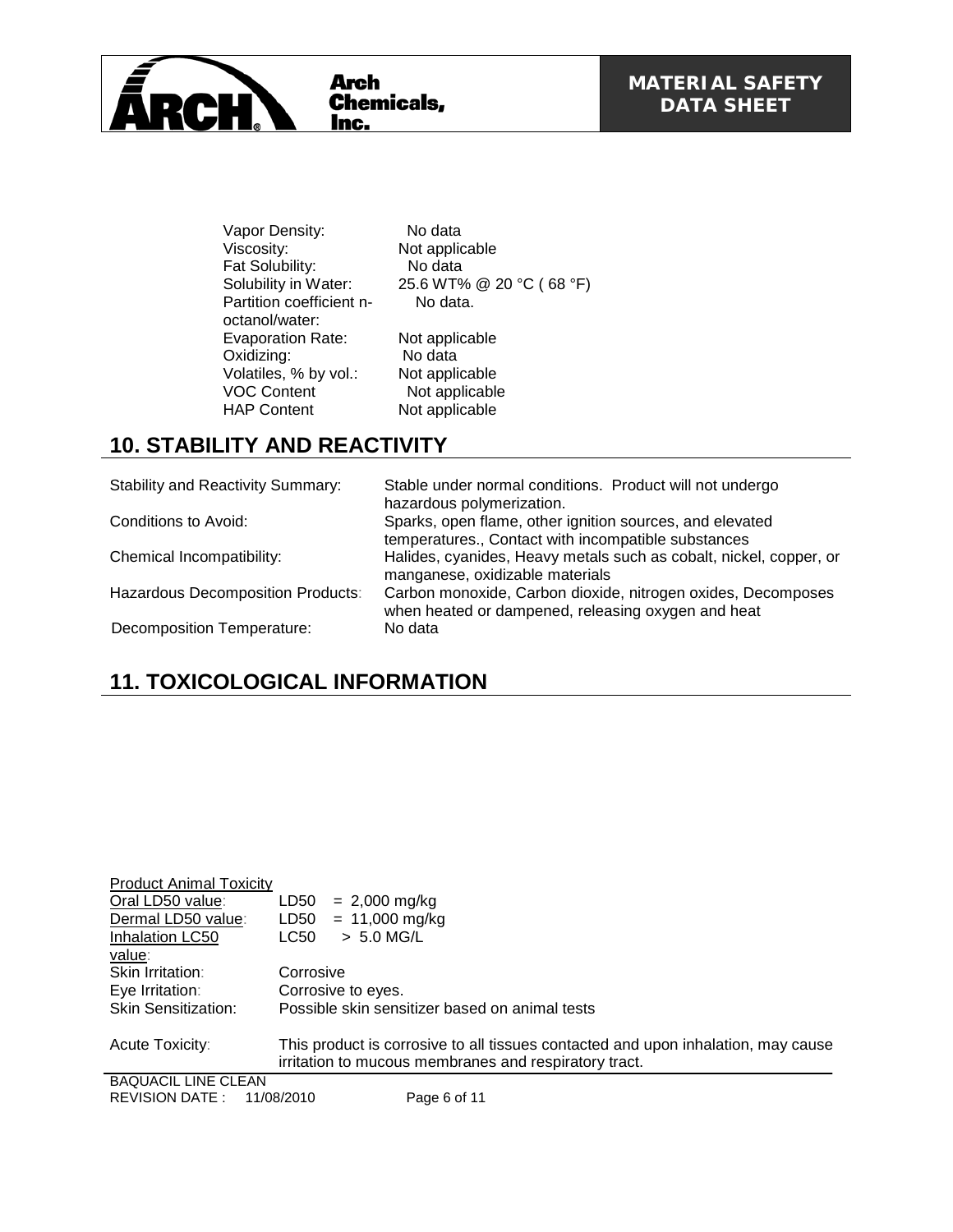

Vapor Density:<br>
Viscosity: Not applic Fat Solubility: No data<br>Solubility in Water: 25.6 WT% Partition coefficient noctanol/water: Evaporation Rate: Not applicable<br>
Oxidizing: No data Oxidizing: No data Volatiles, % by vol.: Not applicable VOC Content Not applicable<br>
HAP Content Not applicable

Not applicable 25.6 WT% @ 20 °C ( 68 °F) No data.

## **10. STABILITY AND REACTIVITY**

| <b>Stability and Reactivity Summary:</b> | Stable under normal conditions. Product will not undergo<br>hazardous polymerization.                              |
|------------------------------------------|--------------------------------------------------------------------------------------------------------------------|
| Conditions to Avoid:                     | Sparks, open flame, other ignition sources, and elevated<br>temperatures., Contact with incompatible substances    |
| Chemical Incompatibility:                | Halides, cyanides, Heavy metals such as cobalt, nickel, copper, or<br>manganese, oxidizable materials              |
| Hazardous Decomposition Products:        | Carbon monoxide, Carbon dioxide, nitrogen oxides, Decomposes<br>when heated or dampened, releasing oxygen and heat |
| <b>Decomposition Temperature:</b>        | No data                                                                                                            |

Not applicable

# **11. TOXICOLOGICAL INFORMATION**

| <b>Product Animal Toxicity</b> |                                                                                                                                            |
|--------------------------------|--------------------------------------------------------------------------------------------------------------------------------------------|
| Oral LD50 value:               | LD50<br>$= 2,000$ mg/kg                                                                                                                    |
| Dermal LD50 value:             | $LD50 = 11,000 \text{ mg/kg}$                                                                                                              |
| Inhalation LC50                | $> 5.0$ MG/L<br>LC50                                                                                                                       |
| value:                         |                                                                                                                                            |
| Skin Irritation:               | Corrosive                                                                                                                                  |
| Eye Irritation:                | Corrosive to eyes.                                                                                                                         |
| <b>Skin Sensitization:</b>     | Possible skin sensitizer based on animal tests                                                                                             |
| Acute Toxicity:                | This product is corrosive to all tissues contacted and upon inhalation, may cause<br>irritation to mucous membranes and respiratory tract. |
| <b>BAQUACIL LINE CLEAN</b>     |                                                                                                                                            |

REVISION DATE : 11/08/2010 Page 6 of 11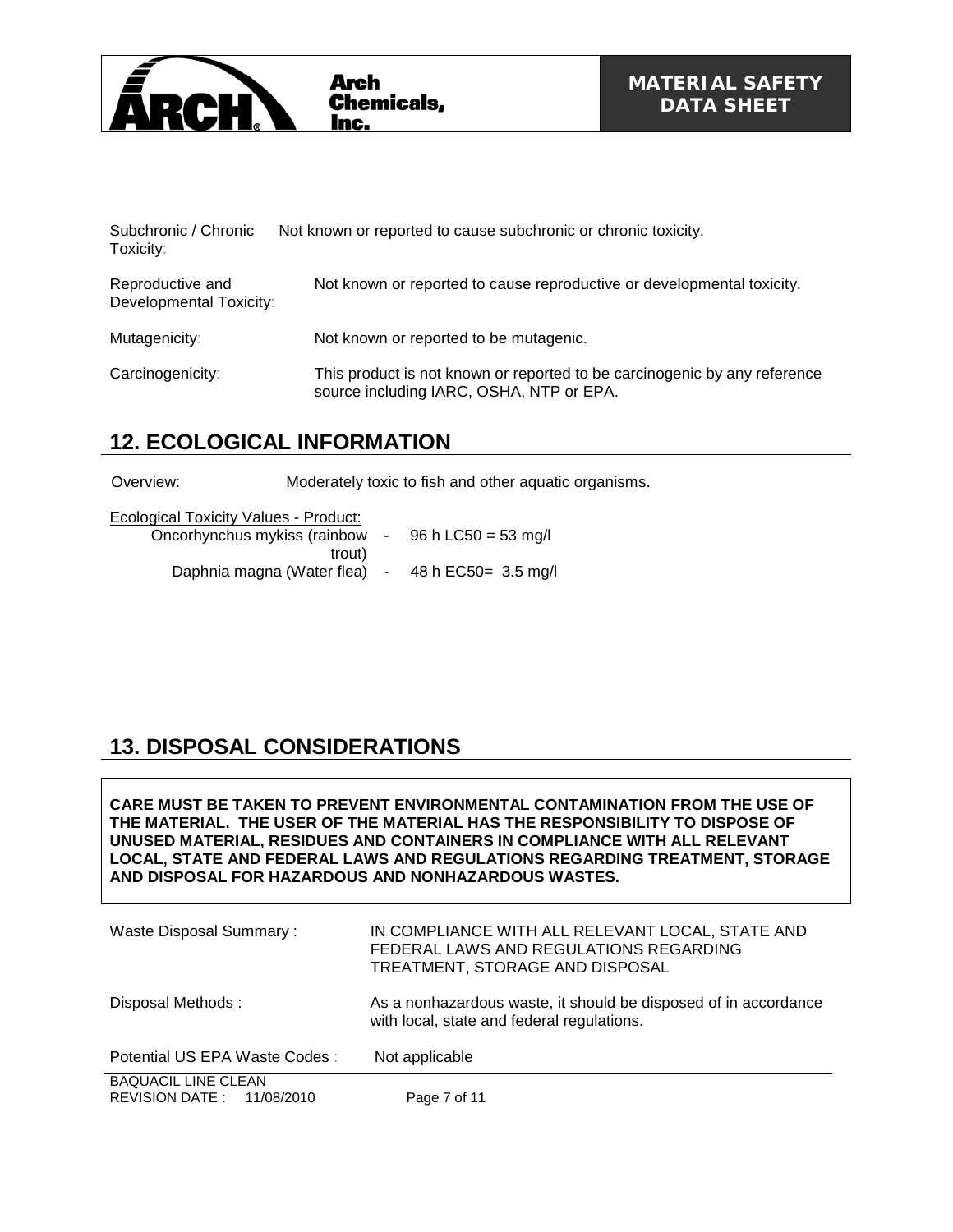

| Subchronic / Chronic<br>Toxicity:           | Not known or reported to cause subchronic or chronic toxicity.                                                        |
|---------------------------------------------|-----------------------------------------------------------------------------------------------------------------------|
| Reproductive and<br>Developmental Toxicity: | Not known or reported to cause reproductive or developmental toxicity.                                                |
| Mutagenicity:                               | Not known or reported to be mutagenic.                                                                                |
| Carcinogenicity:                            | This product is not known or reported to be carcinogenic by any reference<br>source including IARC, OSHA, NTP or EPA. |

## **12. ECOLOGICAL INFORMATION**

Overview: Moderately toxic to fish and other aquatic organisms.

| Ecological Toxicity Values - Product: |                      |                        |
|---------------------------------------|----------------------|------------------------|
| Oncorhynchus mykiss (rainbow          |                      | $-96 h$ LC50 = 53 mg/l |
| trout)                                |                      |                        |
| Daphnia magna (Water flea)            | $\sim 100$ m $^{-1}$ | 48 h EC50 = 3.5 mg/l   |

# **13. DISPOSAL CONSIDERATIONS**

**CARE MUST BE TAKEN TO PREVENT ENVIRONMENTAL CONTAMINATION FROM THE USE OF THE MATERIAL. THE USER OF THE MATERIAL HAS THE RESPONSIBILITY TO DISPOSE OF UNUSED MATERIAL, RESIDUES AND CONTAINERS IN COMPLIANCE WITH ALL RELEVANT LOCAL, STATE AND FEDERAL LAWS AND REGULATIONS REGARDING TREATMENT, STORAGE AND DISPOSAL FOR HAZARDOUS AND NONHAZARDOUS WASTES.** 

| Waste Disposal Summary:                                     | IN COMPLIANCE WITH ALL RELEVANT LOCAL, STATE AND<br>FEDERAL LAWS AND REGULATIONS REGARDING<br>TREATMENT, STORAGE AND DISPOSAL |
|-------------------------------------------------------------|-------------------------------------------------------------------------------------------------------------------------------|
| Disposal Methods:                                           | As a nonhazardous waste, it should be disposed of in accordance<br>with local, state and federal regulations.                 |
| Potential US EPA Waste Codes:                               | Not applicable                                                                                                                |
| <b>BAQUACIL LINE CLEAN</b><br>REVISION DATE :<br>11/08/2010 | Page 7 of 11                                                                                                                  |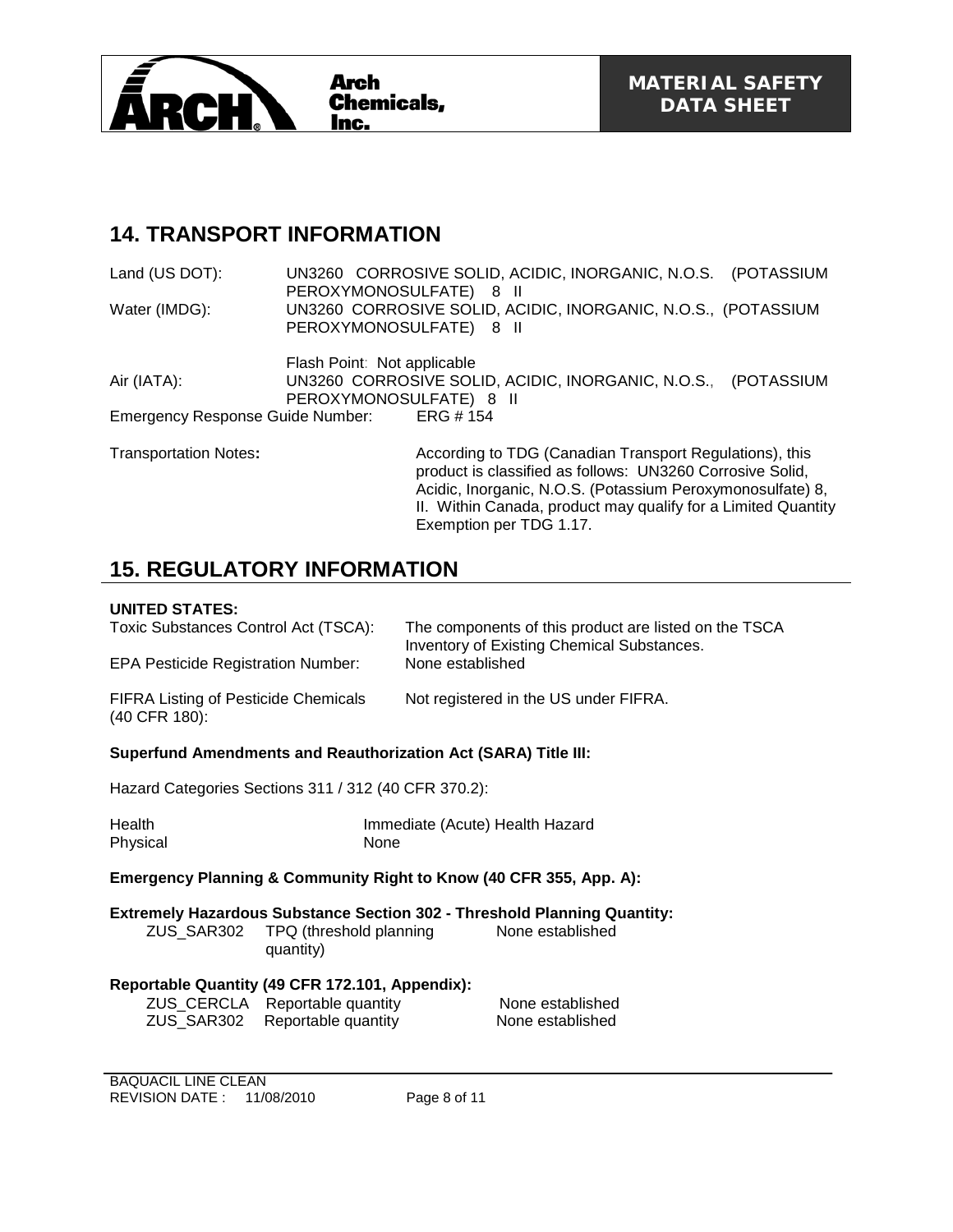

### **14. TRANSPORT INFORMATION**

Land (US DOT): UN3260 CORROSIVE SOLID, ACIDIC, INORGANIC, N.O.S. (POTASSIUM PEROXYMONOSULFATE) 8 II Water (IMDG): UN3260 CORROSIVE SOLID, ACIDIC, INORGANIC, N.O.S., (POTASSIUM PEROXYMONOSULFATE) 8 II Flash Point: Not applicable

Air (IATA): UN3260 CORROSIVE SOLID, ACIDIC, INORGANIC, N.O.S., (POTASSIUM PEROXYMONOSULFATE) 8 II Emergency Response Guide Number: ERG # 154

Transportation Notes**:** According to TDG (Canadian Transport Regulations), this product is classified as follows: UN3260 Corrosive Solid, Acidic, Inorganic, N.O.S. (Potassium Peroxymonosulfate) 8, II. Within Canada, product may qualify for a Limited Quantity Exemption per TDG 1.17.

## **15. REGULATORY INFORMATION**

### **UNITED STATES:**

| UNILED STATES:                                                     |                                      |                                 |                                                                                                            |
|--------------------------------------------------------------------|--------------------------------------|---------------------------------|------------------------------------------------------------------------------------------------------------|
| Toxic Substances Control Act (TSCA):                               |                                      |                                 | The components of this product are listed on the TSCA<br><b>Inventory of Existing Chemical Substances.</b> |
| <b>EPA Pesticide Registration Number:</b>                          |                                      | None established                |                                                                                                            |
| <b>FIFRA Listing of Pesticide Chemicals</b><br>(40 CFR 180):       |                                      |                                 | Not registered in the US under FIFRA.                                                                      |
| Superfund Amendments and Reauthorization Act (SARA) Title III:     |                                      |                                 |                                                                                                            |
| Hazard Categories Sections 311 / 312 (40 CFR 370.2):               |                                      |                                 |                                                                                                            |
| Health<br>Physical                                                 | None                                 | Immediate (Acute) Health Hazard |                                                                                                            |
| Emergency Planning & Community Right to Know (40 CFR 355, App. A): |                                      |                                 |                                                                                                            |
| ZUS SAR302                                                         | TPQ (threshold planning<br>quantity) |                                 | <b>Extremely Hazardous Substance Section 302 - Threshold Planning Quantity:</b><br>None established        |
| Reportable Quantity (49 CFR 172.101, Appendix):                    |                                      |                                 | None established                                                                                           |
|                                                                    | ZUS_CERCLA Reportable quantity       |                                 |                                                                                                            |
| ZUS SAR302                                                         | Reportable quantity                  |                                 | None established                                                                                           |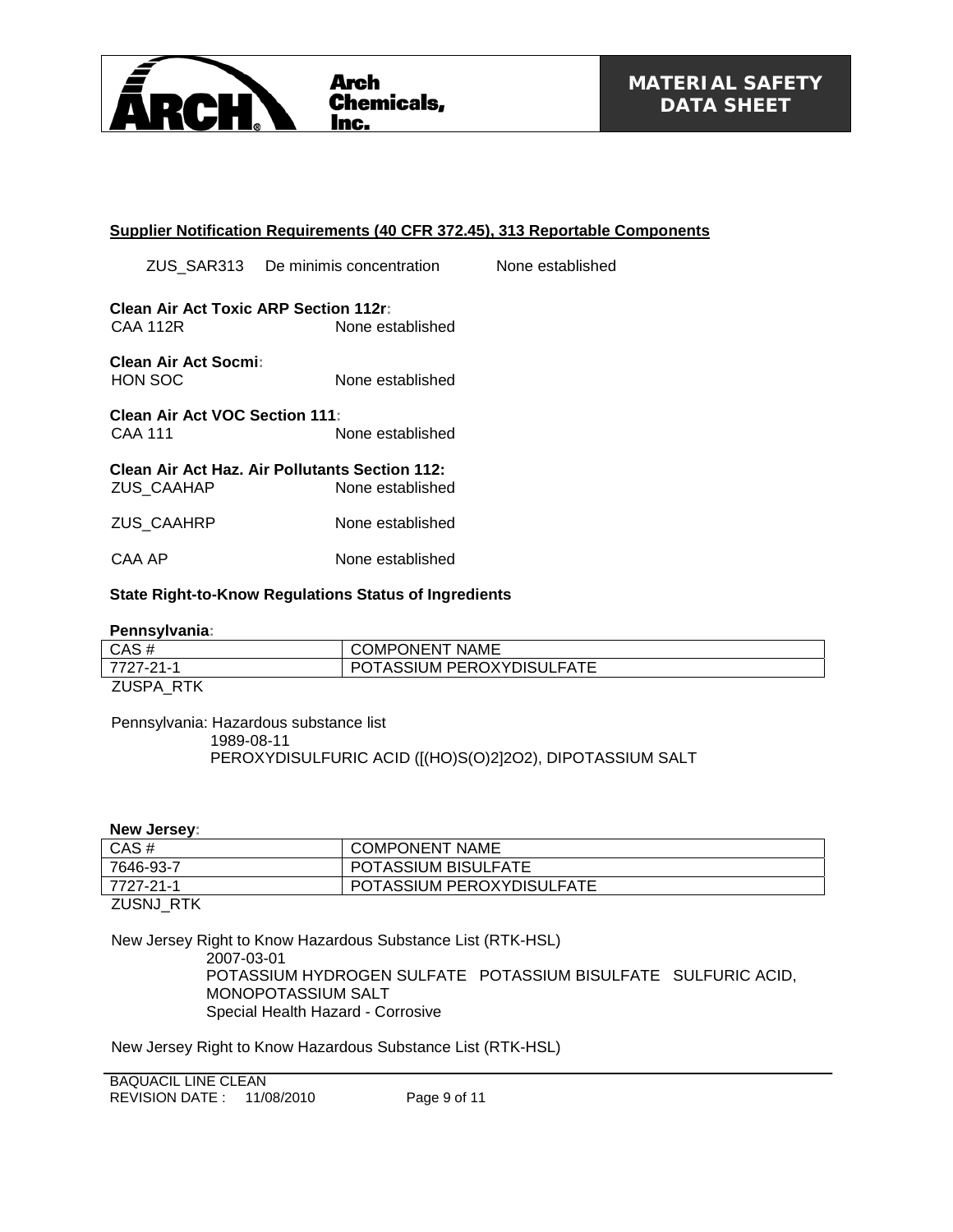

#### **Supplier Notification Requirements (40 CFR 372.45), 313 Reportable Components**

ZUS\_SAR313 De minimis concentration None established

**Clean Air Act Toxic ARP Section 112r:** CAA 112R None established

#### **Clean Air Act Socmi:** None established

**Clean Air Act VOC Section 111:** CAA 111 None established

**Clean Air Act Haz. Air Pollutants Section 112:** ZUS\_CAAHAP None established

ZUS\_CAAHRP None established

CAA AP None established

#### **State Right-to-Know Regulations Status of Ingredients**

#### **Pennsylvania:**

| . UNING YIV GING . |                           |
|--------------------|---------------------------|
| CAS#               | <b>COMPONENT NAME</b>     |
| 7727-21-1          | POTASSIUM PEROXYDISULFATE |
| ZUSPA RTK          |                           |

Pennsylvania: Hazardous substance list 1989-08-11 PEROXYDISULFURIC ACID ([(HO)S(O)2]2O2), DIPOTASSIUM SALT

**New Jersey:**

| 7727-21-1 | POTASSIUM PEROXYDISULFATE  |
|-----------|----------------------------|
| 7646-93-7 | <b>POTASSIUM BISULFATE</b> |
| $CAS \#$  | <b>COMPONENT NAME</b>      |

ZUSNJ\_RTK

New Jersey Right to Know Hazardous Substance List (RTK-HSL)

2007-03-01

POTASSIUM HYDROGEN SULFATE POTASSIUM BISULFATE SULFURIC ACID, MONOPOTASSIUM SALT Special Health Hazard - Corrosive

New Jersey Right to Know Hazardous Substance List (RTK-HSL)

BAQUACIL LINE CLEAN REVISION DATE : 11/08/2010 Page 9 of 11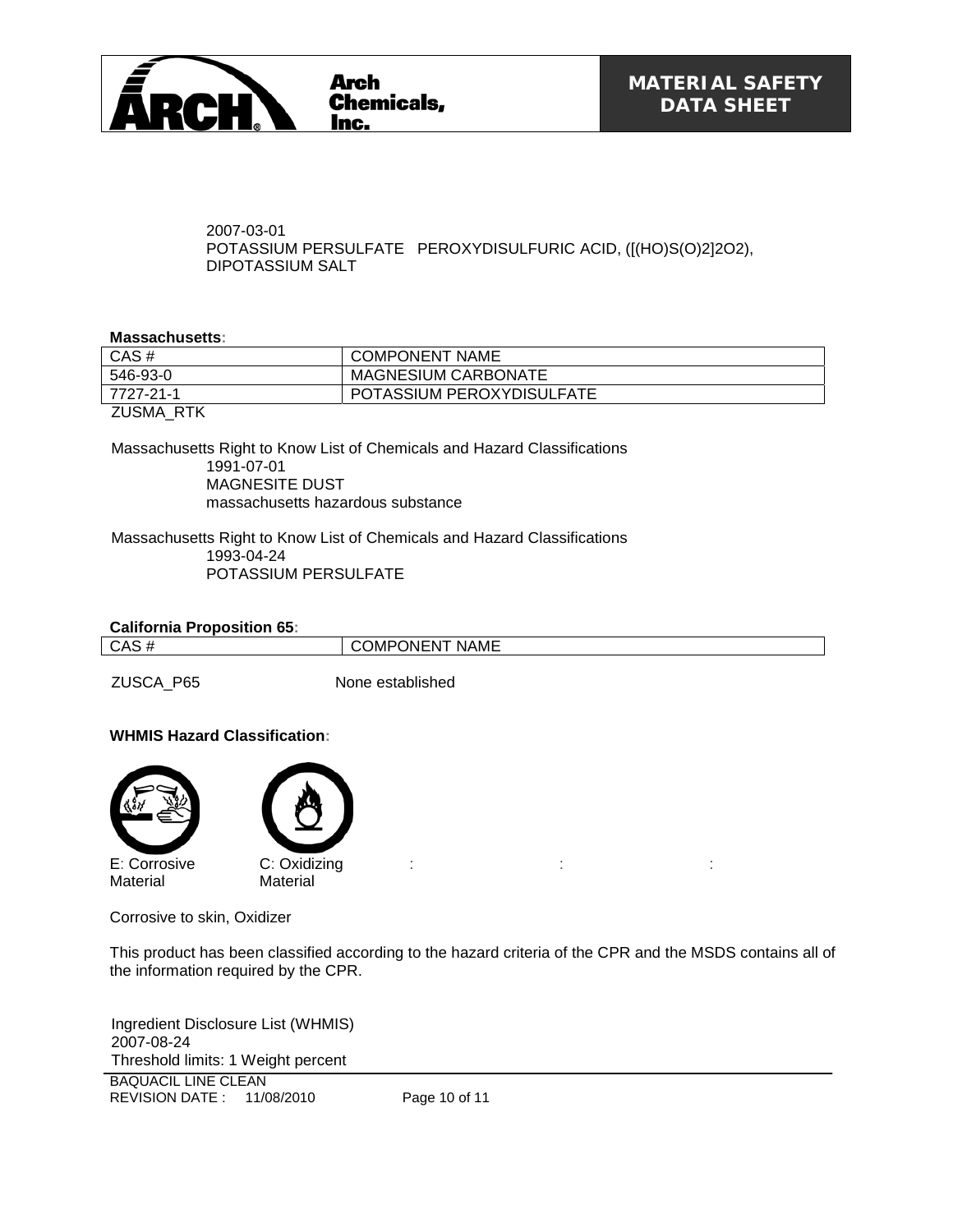

2007-03-01 POTASSIUM PERSULFATE PEROXYDISULFURIC ACID, ([(HO)S(O)2]2O2), DIPOTASSIUM SALT

#### **Massachusetts:**

| CAS#      | <b>COMPONENT NAME</b>      |
|-----------|----------------------------|
| 546-93-0  | <b>MAGNESIUM CARBONATE</b> |
| 7727-21-1 | POTASSIUM PEROXYDISULFATE  |
| ZUSMA RTK |                            |

Massachusetts Right to Know List of Chemicals and Hazard Classifications 1991-07-01 MAGNESITE DUST massachusetts hazardous substance

Massachusetts Right to Know List of Chemicals and Hazard Classifications 1993-04-24 POTASSIUM PERSULFATE

| <b>California Proposition 65:</b> |  |  |  |
|-----------------------------------|--|--|--|
|-----------------------------------|--|--|--|

CAS # COMPONENT NAME

ZUSCA\_P65 None established

#### **WHMIS Hazard Classification:**



Corrosive to skin, Oxidizer

This product has been classified according to the hazard criteria of the CPR and the MSDS contains all of the information required by the CPR.

:  $\mathbf{r} = \mathbf{r} \times \mathbf{r}$  , where  $\mathbf{r} = \mathbf{r} \times \mathbf{r}$  , where  $\mathbf{r} = \mathbf{r} \times \mathbf{r}$ 

BAQUACIL LINE CLEAN REVISION DATE : 11/08/2010 Page 10 of 11 Ingredient Disclosure List (WHMIS) 2007-08-24 Threshold limits: 1 Weight percent